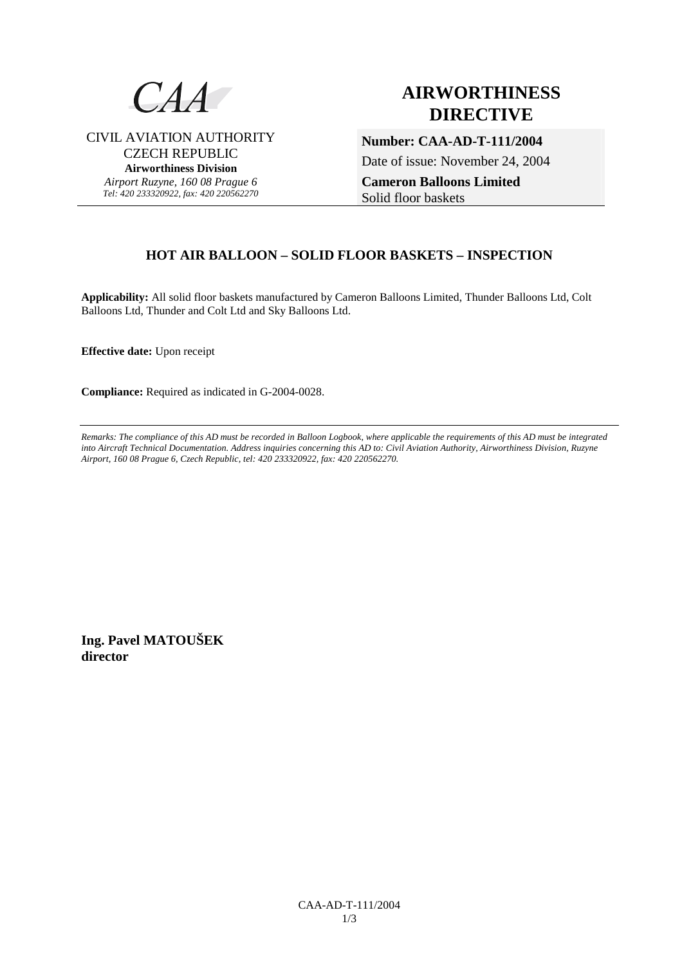

CIVIL AVIATION AUTHORITY CZECH REPUBLIC **Airworthiness Division**  *Airport Ruzyne, 160 08 Prague 6 Tel: 420 233320922, fax: 420 220562270*

# **AIRWORTHINESS DIRECTIVE**

**Number: CAA-AD-T-111/2004** 

Date of issue: November 24, 2004

**Cameron Balloons Limited**  Solid floor baskets

### **HOT AIR BALLOON – SOLID FLOOR BASKETS – INSPECTION**

**Applicability:** All solid floor baskets manufactured by Cameron Balloons Limited, Thunder Balloons Ltd, Colt Balloons Ltd, Thunder and Colt Ltd and Sky Balloons Ltd.

**Effective date:** Upon receipt

**Compliance:** Required as indicated in G-2004-0028.

*Remarks: The compliance of this AD must be recorded in Balloon Logbook, where applicable the requirements of this AD must be integrated into Aircraft Technical Documentation. Address inquiries concerning this AD to: Civil Aviation Authority, Airworthiness Division, Ruzyne Airport, 160 08 Prague 6, Czech Republic, tel: 420 233320922, fax: 420 220562270.* 

**Ing. Pavel MATOUŠEK director**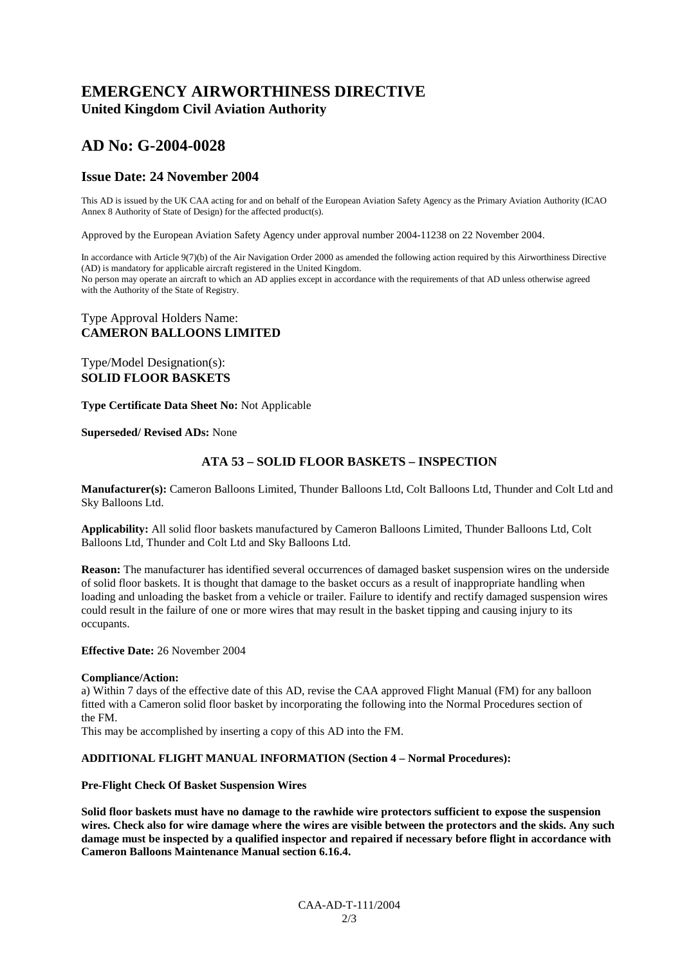### **EMERGENCY AIRWORTHINESS DIRECTIVE United Kingdom Civil Aviation Authority**

## **AD No: G-2004-0028**

#### **Issue Date: 24 November 2004**

This AD is issued by the UK CAA acting for and on behalf of the European Aviation Safety Agency as the Primary Aviation Authority (ICAO Annex 8 Authority of State of Design) for the affected product(s).

Approved by the European Aviation Safety Agency under approval number 2004-11238 on 22 November 2004.

In accordance with Article 9(7)(b) of the Air Navigation Order 2000 as amended the following action required by this Airworthiness Directive (AD) is mandatory for applicable aircraft registered in the United Kingdom. No person may operate an aircraft to which an AD applies except in accordance with the requirements of that AD unless otherwise agreed with the Authority of the State of Registry.

#### Type Approval Holders Name: **CAMERON BALLOONS LIMITED**

#### Type/Model Designation(s): **SOLID FLOOR BASKETS**

**Type Certificate Data Sheet No:** Not Applicable

#### **Superseded/ Revised ADs:** None

#### **ATA 53 – SOLID FLOOR BASKETS – INSPECTION**

**Manufacturer(s):** Cameron Balloons Limited, Thunder Balloons Ltd, Colt Balloons Ltd, Thunder and Colt Ltd and Sky Balloons Ltd.

**Applicability:** All solid floor baskets manufactured by Cameron Balloons Limited, Thunder Balloons Ltd, Colt Balloons Ltd, Thunder and Colt Ltd and Sky Balloons Ltd.

**Reason:** The manufacturer has identified several occurrences of damaged basket suspension wires on the underside of solid floor baskets. It is thought that damage to the basket occurs as a result of inappropriate handling when loading and unloading the basket from a vehicle or trailer. Failure to identify and rectify damaged suspension wires could result in the failure of one or more wires that may result in the basket tipping and causing injury to its occupants.

#### **Effective Date:** 26 November 2004

#### **Compliance/Action:**

a) Within 7 days of the effective date of this AD, revise the CAA approved Flight Manual (FM) for any balloon fitted with a Cameron solid floor basket by incorporating the following into the Normal Procedures section of the FM.

This may be accomplished by inserting a copy of this AD into the FM.

#### **ADDITIONAL FLIGHT MANUAL INFORMATION (Section 4 – Normal Procedures):**

#### **Pre-Flight Check Of Basket Suspension Wires**

**Solid floor baskets must have no damage to the rawhide wire protectors sufficient to expose the suspension wires. Check also for wire damage where the wires are visible between the protectors and the skids. Any such damage must be inspected by a qualified inspector and repaired if necessary before flight in accordance with Cameron Balloons Maintenance Manual section 6.16.4.**